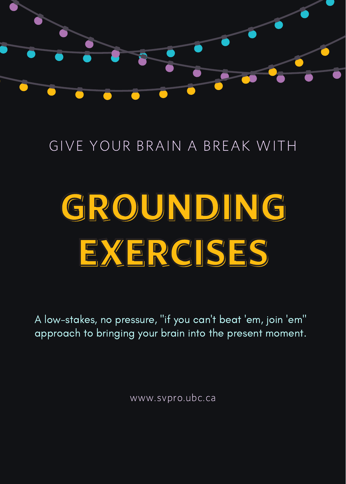

#### GIVE YOUR BRAIN A BREAK WITH

# GROUNDING EXERCISES

A low-stakes, no pressure, "if you can't beat 'em, join 'em" approach to bringing your brain into the present moment.

www.svpro.ubc.ca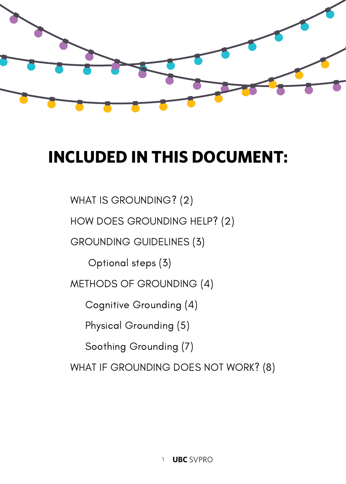

### INCLUDED IN THIS DOCUMENT:

WHAT IS GROUNDING? (2)

HOW DOES GROUNDING HELP? (2)

GROUNDING GUIDELINES (3)

Optional steps (3)

METHODS OF GROUNDING (4)

Cognitive Grounding (4)

Physical Grounding (5)

Soothing Grounding (7)

WHAT IF GROUNDING DOES NOT WORK? (8)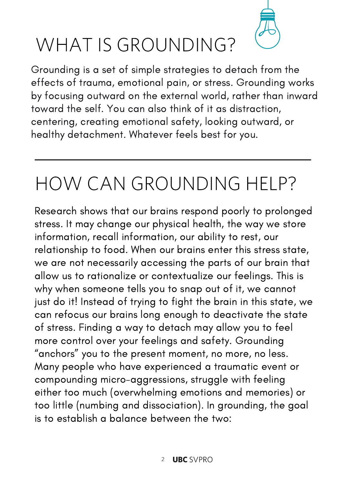

### WHAT IS GROUNDING?

Grounding is a set of simple strategies to detach from the effects of trauma, emotional pain, or stress. Grounding works by focusing outward on the external world, rather than inward toward the self. You can also think of it as distraction, centering, creating emotional safety, looking outward, or healthy detachment. Whatever feels best for you.

### HOW CAN GROUNDING HELP?

Research shows that our brains respond poorly to prolonged stress. It may change our physical health, the way we store information, recall information, our ability to rest, our relationship to food. When our brains enter this stress state, we are not necessarily accessing the parts of our brain that allow us to rationalize or contextualize our feelings. This is why when someone tells you to snap out of it, we cannot just do it! Instead of trying to fight the brain in this state, we can refocus our brains long enough to deactivate the state of stress. Finding a way to detach may allow you to feel more control over your feelings and safety. Grounding "anchors" you to the present moment, no more, no less. Many people who have experienced a traumatic event or compounding micro-aggressions, struggle with feeling either too much (overwhelming emotions and memories) or too little (numbing and dissociation). In grounding, the goal is to establish a balance between the two: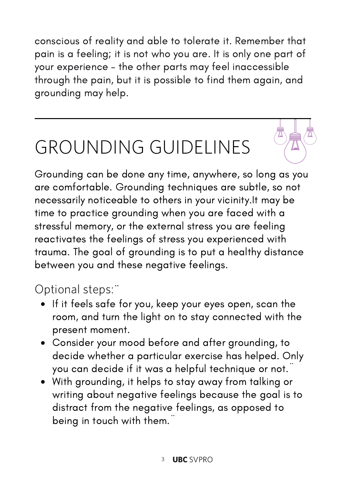conscious of reality and able to tolerate it. Remember that pain is a feeling; it is not who you are. It is only one part of your experience – the other parts may feel inaccessible through the pain, but it is possible to find them again, and grounding may help.

# GROUNDING GUIDELINES

Grounding can be done any time, anywhere, so long as you are comfortable. Grounding techniques are subtle, so not necessarily noticeable to others in your vicinity.It may be time to practice grounding when you are faced with a stressful memory, or the external stress you are feeling reactivates the feelings of stress you experienced with trauma. The goal of grounding is to put a healthy distance between you and these negative feelings.

#### Optional steps:¨

- If it feels safe for you, keep your eyes open, scan the room, and turn the light on to stay connected with the present moment.
- Consider your mood before and after grounding, to decide whether a particular exercise has helped. Only you can decide if it was a helpful technique or not.¨
- With grounding, it helps to stay away from talking or writing about negative feelings because the goal is to distract from the negative feelings, as opposed to being in touch with them.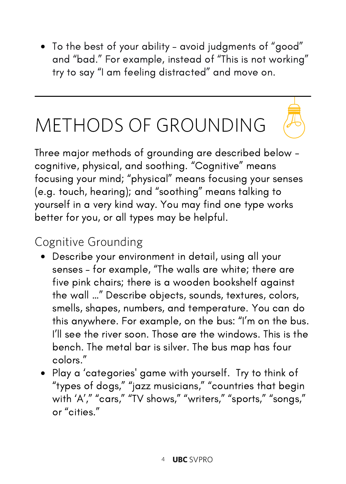To the best of your ability – avoid judgments of "good" and "bad." For example, instead of "This is not working" try to say "I am feeling distracted" and move on.

# METHODS OF GROUNDING

Three major methods of grounding are described below – cognitive, physical, and soothing. "Cognitive" means focusing your mind; "physical" means focusing your senses (e.g. touch, hearing); and "soothing" means talking to yourself in a very kind way. You may find one type works better for you, or all types may be helpful.

#### Cognitive Grounding

- Describe your environment in detail, using all your senses – for example, "The walls are white; there are five pink chairs; there is a wooden bookshelf against the wall …" Describe objects, sounds, textures, colors, smells, shapes, numbers, and temperature. You can do this anywhere. For example, on the bus: "I'm on the bus. I'll see the river soon. Those are the windows. This is the bench. The metal bar is silver. The bus map has four colors."
- Play a 'categories' game with yourself. Try to think of "types of dogs," "jazz musicians," "countries that begin with 'A'," "cars," "TV shows," "writers," "sports," "songs," or "cities."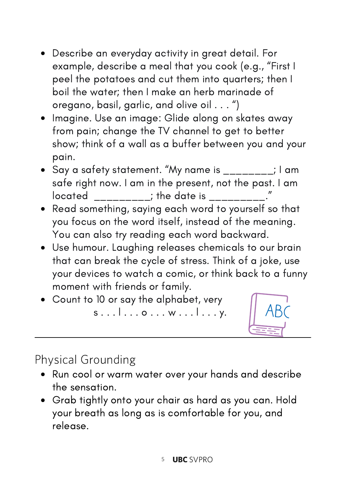- Describe an everyday activity in great detail. For example, describe a meal that you cook (e.g., "First I peel the potatoes and cut them into quarters; then I boil the water; then I make an herb marinade of oregano, basil, garlic, and olive oil . . . ")
- Imagine. Use an image: Glide along on skates away from pain; change the TV channel to get to better show; think of a wall as a buffer between you and your pain.
- $\bullet$  Say a safety statement. "My name is \_\_\_\_\_\_\_\_; I am safe right now. I am in the present, not the past. I am  $\frac{1}{2}$  located \_\_\_\_\_\_\_\_\_; the date is \_\_\_\_\_\_\_\_\_\_.
- Read something, saying each word to yourself so that you focus on the word itself, instead of the meaning. You can also try reading each word backward.
- Use humour. Laughing releases chemicals to our brain that can break the cycle of stress. Think of a joke, use your devices to watch a comic, or think back to a funny moment with friends or family.
- Count to 10 or say the alphabet, very s . . . l . . . o . . . w . . . l . . . y.



#### Physical Grounding

- Run cool or warm water over your hands and describe the sensation.
- Grab tightly onto your chair as hard as you can. Hold your breath as long as is comfortable for you, and release.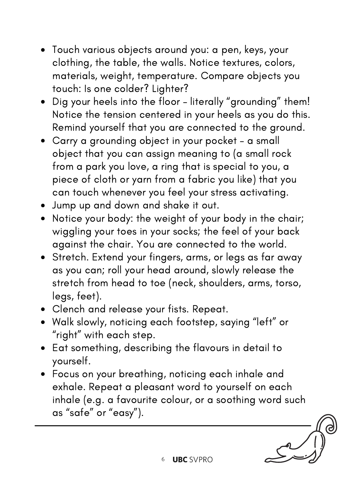- Touch various objects around you: a pen, keys, your clothing, the table, the walls. Notice textures, colors, materials, weight, temperature. Compare objects you touch: Is one colder? Lighter?
- Dig your heels into the floor literally "grounding" them! Notice the tension centered in your heels as you do this. Remind yourself that you are connected to the ground.
- Carry a grounding object in your pocket a small object that you can assign meaning to (a small rock from a park you love, a ring that is special to you, a piece of cloth or yarn from a fabric you like) that you can touch whenever you feel your stress activating.
- Jump up and down and shake it out.
- Notice your body: the weight of your body in the chair; wiggling your toes in your socks; the feel of your back against the chair. You are connected to the world.
- Stretch. Extend your fingers, arms, or legs as far away as you can; roll your head around, slowly release the stretch from head to toe (neck, shoulders, arms, torso, legs, feet).
- Clench and release your fists. Repeat.
- Walk slowly, noticing each footstep, saying "left" or "right" with each step.
- Eat something, describing the flavours in detail to yourself.
- Focus on your breathing, noticing each inhale and exhale. Repeat a pleasant word to yourself on each inhale (e.g. a favourite colour, or a soothing word such as "safe" or "easy").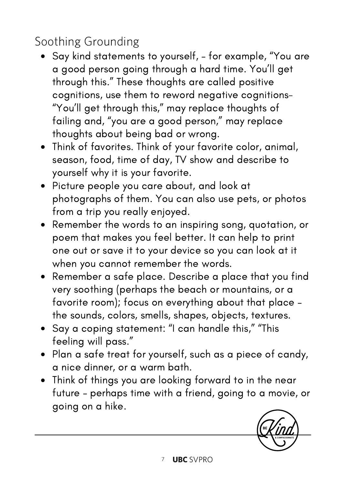#### Soothing Grounding

- Say kind statements to yourself, for example, "You are a good person going through a hard time. You'll get through this." These thoughts are called positive cognitions, use them to reword negative cognitions- "You'll get through this," may replace thoughts of failing and, "you are a good person," may replace thoughts about being bad or wrong.
- Think of favorites. Think of your favorite color, animal, season, food, time of day, TV show and describe to yourself why it is your favorite.
- Picture people you care about, and look at photographs of them. You can also use pets, or photos from a trip you really enjoyed.
- Remember the words to an inspiring song, quotation, or poem that makes you feel better. It can help to print one out or save it to your device so you can look at it when you cannot remember the words.
- Remember a safe place. Describe a place that you find very soothing (perhaps the beach or mountains, or a favorite room); focus on everything about that place – the sounds, colors, smells, shapes, objects, textures.
- Say a coping statement: "I can handle this," "This feeling will pass."
- Plan a safe treat for yourself, such as a piece of candy, a nice dinner, or a warm bath.
- Think of things you are looking forward to in the near future – perhaps time with a friend, going to a movie, or going on a hike.

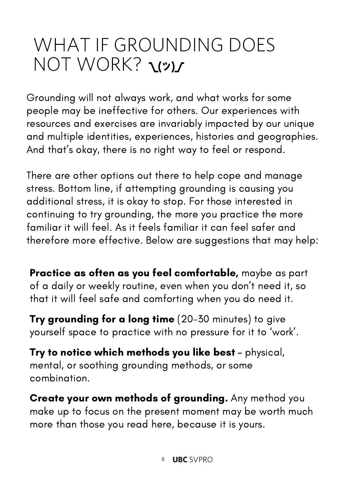### WHAT IF GROUNDING DOES NOT WORK? עי)

Grounding will not always work, and what works for some people may be ineffective for others. Our experiences with resources and exercises are invariably impacted by our unique and multiple identities, experiences, histories and geographies. And that's okay, there is no right way to feel or respond.

There are other options out there to help cope and manage stress. Bottom line, if attempting grounding is causing you additional stress, it is okay to stop. For those interested in continuing to try grounding, the more you practice the more familiar it will feel. As it feels familiar it can feel safer and therefore more effective. Below are suggestions that may help:

Practice as often as you feel comfortable, maybe as part of a daily or weekly routine, even when you don't need it, so that it will feel safe and comforting when you do need it.

Try grounding for a long time (20-30 minutes) to give yourself space to practice with no pressure for it to 'work'.

Try to notice which methods you like best – physical, mental, or soothing grounding methods, or some combination.

Create your own methods of grounding. Any method you make up to focus on the present moment may be worth much more than those you read here, because it is yours.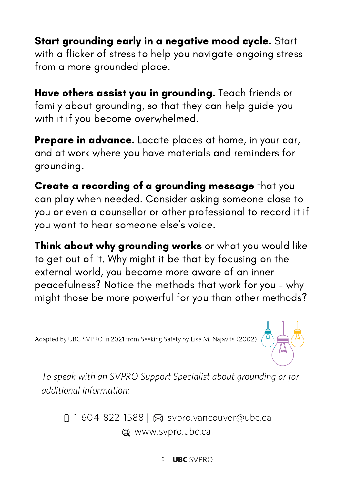Start grounding early in a negative mood cycle. Start with a flicker of stress to help you navigate ongoing stress from a more grounded place.

Have others assist you in grounding. Teach friends or family about grounding, so that they can help guide you with it if you become overwhelmed.

**Prepare in advance.** Locate places at home, in your car, and at work where you have materials and reminders for grounding.

Create a recording of a grounding message that you can play when needed. Consider asking someone close to you or even a counsellor or other professional to record it if you want to hear someone else's voice.

Think about why grounding works or what you would like to get out of it. Why might it be that by focusing on the external world, you become more aware of an inner peacefulness? Notice the methods that work for you – why might those be more powerful for you than other methods?

Adapted by UBC SVPRO in 2021 from Seeking Safety by Lisa M. Najavits (2002)



To speak with an SVPRO Support Specialist about grounding or for additional information:

□ 1-604-822-1588 | ⊠ svpro.vancouver@ubc.ca www.svpro.ubc.ca

9 UBC SVPRO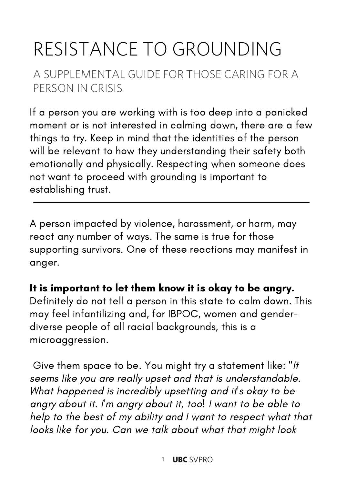## RESISTANCE TO GROUNDING

#### A SUPPLEMENTAL GUIDE FOR THOSE CARING FOR A PERSON IN CRISIS

If a person you are working with is too deep into a panicked moment or is not interested in calming down, there are a few things to try. Keep in mind that the identities of the person will be relevant to how they understanding their safety both emotionally and physically. Respecting when someone does not want to proceed with grounding is important to establishing trust.

A person impacted by violence, harassment, or harm, may react any number of ways. The same is true for those supporting survivors. One of these reactions may manifest in anger.

#### It is important to let them know it is okay to be angry.

Definitely do not tell a person in this state to calm down. This may feel infantilizing and, for IBPOC, women and genderdiverse people of all racial backgrounds, this is a microaggression.

Give them space to be. You might try a statement like: "It seems like you are really upset and that is understandable. What happened is incredibly upsetting and it's okay to be angry about it. I'm angry about it, too! I want to be able to help to the best of my ability and I want to respect what that looks like for you. Can we talk about what that might look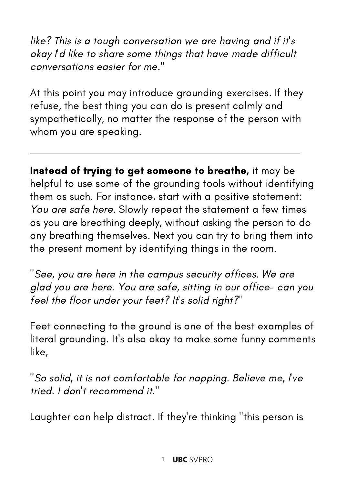like? This is a tough conversation we are having and if it's okay I'd like to share some things that have made difficult conversations easier for me."

At this point you may introduce grounding exercises. If they refuse, the best thing you can do is present calmly and sympathetically, no matter the response of the person with whom you are speaking.

Instead of trying to get someone to breathe, it may be helpful to use some of the grounding tools without identifying them as such. For instance, start with a positive statement: You are safe here. Slowly repeat the statement a few times as you are breathing deeply, without asking the person to do any breathing themselves. Next you can try to bring them into the present moment by identifying things in the room.

"See, you are here in the campus security offices. We are glad you are here. You are safe, sitting in our office- can you feel the floor under your feet? It's solid right?"

Feet connecting to the ground is one of the best examples of literal grounding. It's also okay to make some funny comments like,

"So solid, it is not comfortable for napping. Believe me, I've tried. I don't recommend it."

Laughter can help distract. If they're thinking "this person is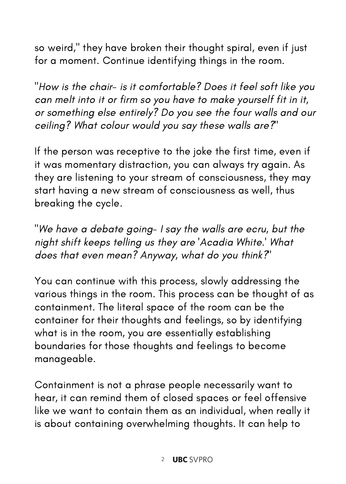so weird," they have broken their thought spiral, even if just for a moment. Continue identifying things in the room.

"How is the chair- is it comfortable? Does it feel soft like you can melt into it or firm so you have to make yourself fit in it, or something else entirely? Do you see the four walls and our ceiling? What colour would you say these walls are?"

If the person was receptive to the joke the first time, even if it was momentary distraction, you can always try again. As they are listening to your stream of consciousness, they may start having a new stream of consciousness as well, thus breaking the cycle.

"We have a debate going- I say the walls are ecru, but the night shift keeps telling us they are 'Acadia White.' What does that even mean? Anyway, what do you think?"

You can continue with this process, slowly addressing the various things in the room. This process can be thought of as containment. The literal space of the room can be the container for their thoughts and feelings, so by identifying what is in the room, you are essentially establishing boundaries for those thoughts and feelings to become manageable.

Containment is not a phrase people necessarily want to hear, it can remind them of closed spaces or feel offensive like we want to contain them as an individual, when really it is about containing overwhelming thoughts. It can help to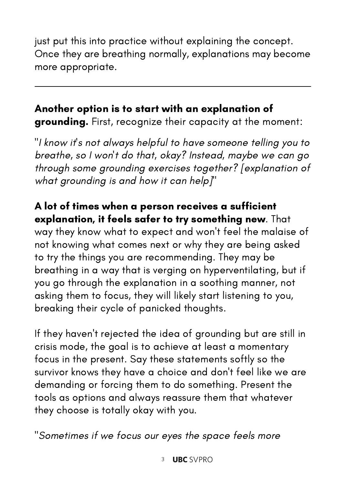just put this into practice without explaining the concept. Once they are breathing normally, explanations may become more appropriate.

#### Another option is to start with an explanation of grounding. First, recognize their capacity at the moment:

"I know it's not always helpful to have someone telling you to breathe, so I won't do that, okay? Instead, maybe we can go through some grounding exercises together? [explanation of what grounding is and how it can help]"

A lot of times when a person receives a sufficient explanation, it feels safer to try something new. That way they know what to expect and won't feel the malaise of not knowing what comes next or why they are being asked to try the things you are recommending. They may be breathing in a way that is verging on hyperventilating, but if you go through the explanation in a soothing manner, not asking them to focus, they will likely start listening to you, breaking their cycle of panicked thoughts.

If they haven't rejected the idea of grounding but are still in crisis mode, the goal is to achieve at least a momentary focus in the present. Say these statements softly so the survivor knows they have a choice and don't feel like we are demanding or forcing them to do something. Present the tools as options and always reassure them that whatever they choose is totally okay with you.

"Sometimes if we focus our eyes the space feels more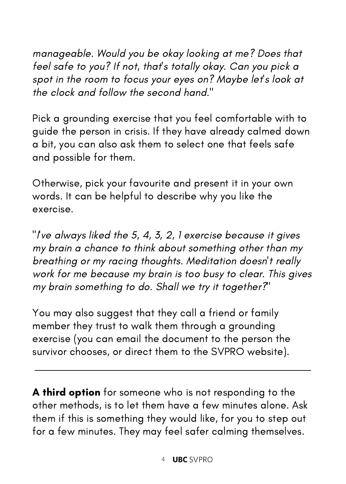manageable. Would you be okay looking at me? Does that feel safe to you? If not, that's totally okay. Can you pick a spot in the room to focus your eyes on? Maybe let's look at the clock and follow the second hand."

Pick a grounding exercise that you feel comfortable with to guide the person in crisis. If they have already calmed down a bit, you can also ask them to select one that feels safe and possible for them.

Otherwise, pick your favourite and present it in your own words. It can be helpful to describe why you like the exercise.

"I've always liked the 5, 4, 3, 2, 1 exercise because it gives my brain a chance to think about something other than my breathing or my racing thoughts. Meditation doesn't really work for me because my brain is too busy to clear. This gives my brain something to do. Shall we try it together?"

You may also suggest that they call a friend or family member they trust to walk them through a grounding exercise (you can email the document to the person the survivor chooses, or direct them to the SVPRO website).

A third option for someone who is not responding to the other methods, is to let them have a few minutes alone. Ask them if this is something they would like, for you to step out for a few minutes. They may feel safer calming themselves.